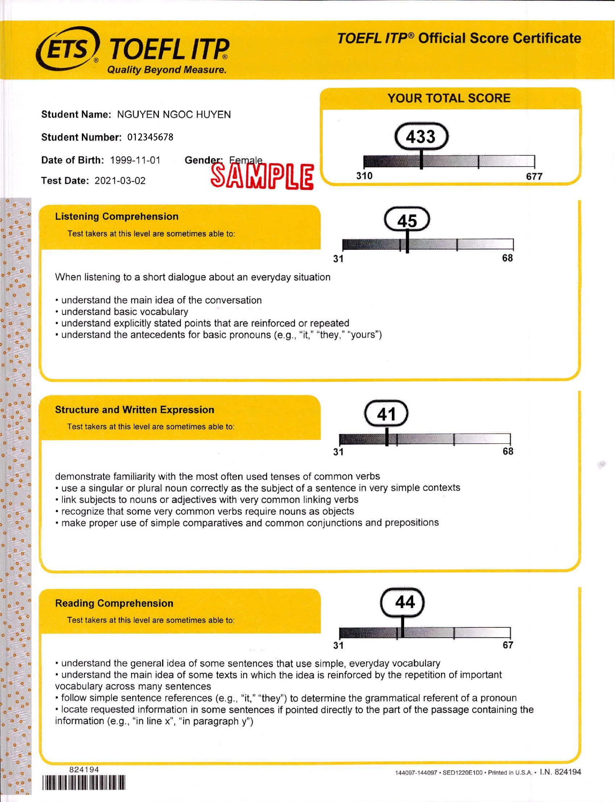